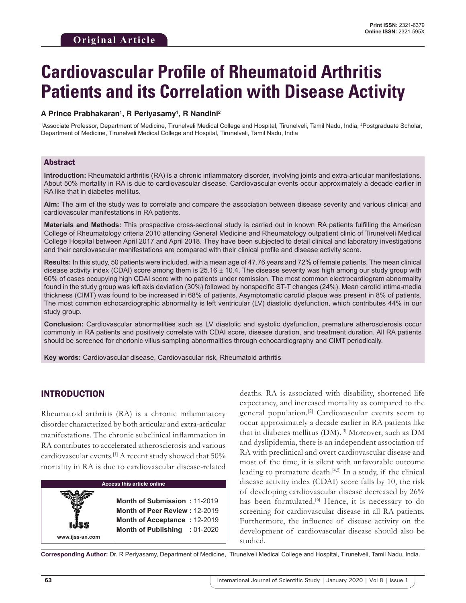# **Cardiovascular Profile of Rheumatoid Arthritis Patients and its Correlation with Disease Activity**

### **A Prince Prabhakaran1 , R Periyasamy1 , R Nandini2**

1 Associate Professor, Department of Medicine, Tirunelveli Medical College and Hospital, Tirunelveli, Tamil Nadu, India, 2 Postgraduate Scholar, Department of Medicine, Tirunelveli Medical College and Hospital, Tirunelveli, Tamil Nadu, India

#### Abstract

**Introduction:** Rheumatoid arthritis (RA) is a chronic inflammatory disorder, involving joints and extra-articular manifestations. About 50% mortality in RA is due to cardiovascular disease. Cardiovascular events occur approximately a decade earlier in RA like that in diabetes mellitus.

**Aim:** The aim of the study was to correlate and compare the association between disease severity and various clinical and cardiovascular manifestations in RA patients.

**Materials and Methods:** This prospective cross-sectional study is carried out in known RA patients fulfilling the American College of Rheumatology criteria 2010 attending General Medicine and Rheumatology outpatient clinic of Tirunelveli Medical College Hospital between April 2017 and April 2018. They have been subjected to detail clinical and laboratory investigations and their cardiovascular manifestations are compared with their clinical profile and disease activity score.

**Results:** In this study, 50 patients were included, with a mean age of 47.76 years and 72% of female patients. The mean clinical disease activity index (CDAI) score among them is  $25.16 \pm 10.4$ . The disease severity was high among our study group with 60% of cases occupying high CDAI score with no patients under remission. The most common electrocardiogram abnormality found in the study group was left axis deviation (30%) followed by nonspecific ST-T changes (24%). Mean carotid intima-media thickness (CIMT) was found to be increased in 68% of patients. Asymptomatic carotid plaque was present in 8% of patients. The most common echocardiographic abnormality is left ventricular (LV) diastolic dysfunction, which contributes 44% in our study group.

**Conclusion:** Cardiovascular abnormalities such as LV diastolic and systolic dysfunction, premature atherosclerosis occur commonly in RA patients and positively correlate with CDAI score, disease duration, and treatment duration. All RA patients should be screened for chorionic villus sampling abnormalities through echocardiography and CIMT periodically.

**Key words:** Cardiovascular disease, Cardiovascular risk, Rheumatoid arthritis

## INTRODUCTION

**www.ijss-sn.com**

Rheumatoid arthritis (RA) is a chronic inflammatory disorder characterized by both articular and extra-articular manifestations. The chronic subclinical inflammation in RA contributes to accelerated atherosclerosis and various cardiovascular events.[1] A recent study showed that 50% mortality in RA is due to cardiovascular disease-related

#### **Access this article online**

**Month of Submission :** 11-2019 **Month of Peer Review :** 12-2019 **Month of Acceptance :** 12-2019 **Month of Publishing :** 01-2020 deaths. RA is associated with disability, shortened life expectancy, and increased mortality as compared to the general population.[2] Cardiovascular events seem to occur approximately a decade earlier in RA patients like that in diabetes mellitus (DM).[3] Moreover, such as DM and dyslipidemia, there is an independent association of RA with preclinical and overt cardiovascular disease and most of the time, it is silent with unfavorable outcome leading to premature death.<sup>[4,5]</sup> In a study, if the clinical disease activity index (CDAI) score falls by 10, the risk of developing cardiovascular disease decreased by 26% has been formulated.<sup>[6]</sup> Hence, it is necessary to do screening for cardiovascular disease in all RA patients. Furthermore, the influence of disease activity on the development of cardiovascular disease should also be studied.

**Corresponding Author:** Dr. R Periyasamy, Department of Medicine, Tirunelveli Medical College and Hospital, Tirunelveli, Tamil Nadu, India.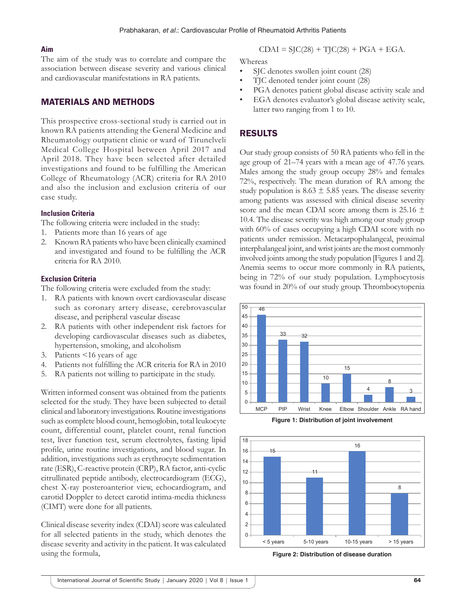### **Aim**

The aim of the study was to correlate and compare the association between disease severity and various clinical and cardiovascular manifestations in RA patients.

## MATERIALS AND METHODS

This prospective cross-sectional study is carried out in known RA patients attending the General Medicine and Rheumatology outpatient clinic or ward of Tirunelveli Medical College Hospital between April 2017 and April 2018. They have been selected after detailed investigations and found to be fulfilling the American College of Rheumatology (ACR) criteria for RA 2010 and also the inclusion and exclusion criteria of our case study.

#### **Inclusion Criteria**

- The following criteria were included in the study:
- 1. Patients more than 16 years of age
- 2. Known RA patients who have been clinically examined and investigated and found to be fulfilling the ACR criteria for RA 2010.

#### **Exclusion Criteria**

The following criteria were excluded from the study:

- 1. RA patients with known overt cardiovascular disease such as coronary artery disease, cerebrovascular disease, and peripheral vascular disease
- 2. RA patients with other independent risk factors for developing cardiovascular diseases such as diabetes, hypertension, smoking, and alcoholism
- 3. Patients <16 years of age
- 4. Patients not fulfilling the ACR criteria for RA in 2010
- 5. RA patients not willing to participate in the study.

Written informed consent was obtained from the patients selected for the study. They have been subjected to detail clinical and laboratory investigations. Routine investigations such as complete blood count, hemoglobin, total leukocyte count, differential count, platelet count, renal function test, liver function test, serum electrolytes, fasting lipid profile, urine routine investigations, and blood sugar. In addition, investigations such as erythrocyte sedimentation rate (ESR), C-reactive protein (CRP), RA factor, anti-cyclic citrullinated peptide antibody, electrocardiogram (ECG), chest X-ray posteroanterior view, echocardiogram, and carotid Doppler to detect carotid intima-media thickness (CIMT) were done for all patients.

Clinical disease severity index (CDAI) score was calculated for all selected patients in the study, which denotes the disease severity and activity in the patient. It was calculated using the formula,

$$
CDAI = SJC(28) + TJC(28) + PGA + EGA.
$$

Whereas

- SJC denotes swollen joint count (28)
- TJC denoted tender joint count (28)
- PGA denotes patient global disease activity scale and
- EGA denotes evaluator's global disease activity scale, latter two ranging from 1 to 10.

## RESULTS

Our study group consists of 50 RA patients who fell in the age group of 21–74 years with a mean age of 47.76 years. Males among the study group occupy 28% and females 72%, respectively. The mean duration of RA among the study population is  $8.63 \pm 5.85$  years. The disease severity among patients was assessed with clinical disease severity score and the mean CDAI score among them is 25.16  $\pm$ 10.4. The disease severity was high among our study group with 60% of cases occupying a high CDAI score with no patients under remission. Metacarpophalangeal, proximal interphalangeal joint, and wrist joints are the most commonly involved joints among the study population [Figures 1 and 2]. Anemia seems to occur more commonly in RA patients, being in 72% of our study population. Lymphocytosis was found in 20% of our study group. Thrombocytopenia



**Figure 1: Distribution of joint involvement**



**Figure 2: Distribution of disease duration**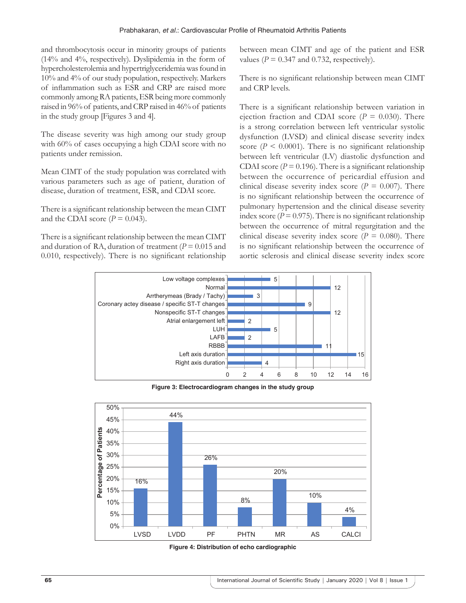and thrombocytosis occur in minority groups of patients (14% and 4%, respectively). Dyslipidemia in the form of hypercholesterolemia and hypertriglyceridemia was found in 10% and 4% of our study population, respectively. Markers of inflammation such as ESR and CRP are raised more commonly among RA patients, ESR being more commonly raised in 96% of patients, and CRP raised in 46% of patients in the study group [Figures 3 and 4].

The disease severity was high among our study group with 60% of cases occupying a high CDAI score with no patients under remission.

Mean CIMT of the study population was correlated with various parameters such as age of patient, duration of disease, duration of treatment, ESR, and CDAI score.

There is a significant relationship between the mean CIMT and the CDAI score  $(P = 0.043)$ .

There is a significant relationship between the mean CIMT and duration of RA, duration of treatment  $(P = 0.015$  and 0.010, respectively). There is no significant relationship between mean CIMT and age of the patient and ESR values ( $P = 0.347$  and 0.732, respectively).

There is no significant relationship between mean CIMT and CRP levels.

There is a significant relationship between variation in ejection fraction and CDAI score ( $P = 0.030$ ). There is a strong correlation between left ventricular systolic dysfunction (LVSD) and clinical disease severity index score ( $P \le 0.0001$ ). There is no significant relationship between left ventricular (LV) diastolic dysfunction and CDAI score ( $P = 0.196$ ). There is a significant relationship between the occurrence of pericardial effusion and clinical disease severity index score  $(P = 0.007)$ . There is no significant relationship between the occurrence of pulmonary hypertension and the clinical disease severity index score ( $P = 0.975$ ). There is no significant relationship between the occurrence of mitral regurgitation and the clinical disease severity index score  $(P = 0.080)$ . There is no significant relationship between the occurrence of aortic sclerosis and clinical disease severity index score



**Figure 3: Electrocardiogram changes in the study group**



**Figure 4: Distribution of echo cardiographic**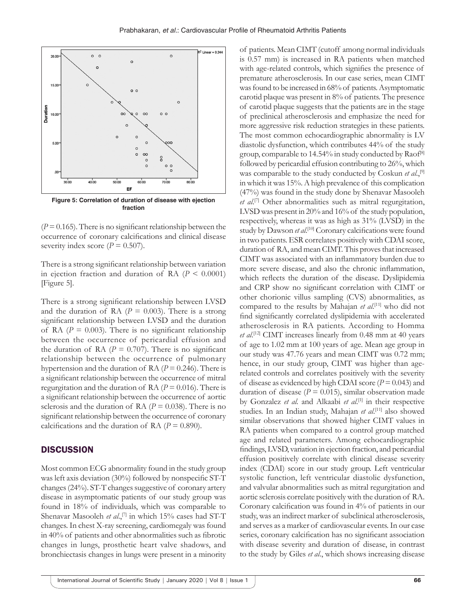

**Figure 5: Correlation of duration of disease with ejection fraction**

 $(P = 0.165)$ . There is no significant relationship between the occurrence of coronary calcifications and clinical disease severity index score  $(P = 0.507)$ .

There is a strong significant relationship between variation in ejection fraction and duration of RA  $(P < 0.0001)$ [Figure 5].

There is a strong significant relationship between LVSD and the duration of RA  $(P = 0.003)$ . There is a strong significant relationship between LVSD and the duration of RA  $(P = 0.003)$ . There is no significant relationship between the occurrence of pericardial effusion and the duration of RA  $(P = 0.707)$ . There is no significant relationship between the occurrence of pulmonary hypertension and the duration of RA ( $P = 0.246$ ). There is a significant relationship between the occurrence of mitral regurgitation and the duration of RA  $(P = 0.016)$ . There is a significant relationship between the occurrence of aortic sclerosis and the duration of RA  $(P = 0.038)$ . There is no significant relationship between the occurrence of coronary calcifications and the duration of RA  $(P = 0.890)$ .

#### **DISCUSSION**

Most common ECG abnormality found in the study group was left axis deviation (30%) followed by nonspecific ST-T changes (24%). ST-T changes suggestive of coronary artery disease in asymptomatic patients of our study group was found in 18% of individuals, which was comparable to Shenavar Masooleh *et al.*,<sup>[7]</sup> in which 15% cases had ST-T changes. In chest X-ray screening, cardiomegaly was found in 40% of patients and other abnormalities such as fibrotic changes in lungs, prosthetic heart valve shadows, and bronchiectasis changes in lungs were present in a minority

of patients. Mean CIMT (cutoff among normal individuals is 0.57 mm) is increased in RA patients when matched with age-related controls, which signifies the presence of premature atherosclerosis. In our case series, mean CIMT was found to be increased in 68% of patients. Asymptomatic carotid plaque was present in 8% of patients. The presence of carotid plaque suggests that the patients are in the stage of preclinical atherosclerosis and emphasize the need for more aggressive risk reduction strategies in these patients. The most common echocardiographic abnormality is LV diastolic dysfunction, which contributes 44% of the study group, comparable to 14.54% in study conducted by Raof<sup>[8]</sup> followed by pericardial effusion contributing to 26%, which was comparable to the study conducted by Coskun *et al*.,[9] in which it was 15%. Ahigh prevalence of this complication (47%) was found in the study done by Shenavar Masooleh *et al*. [7] Other abnormalities such as mitral regurgitation, LVSD was present in 20% and 16% of the study population, respectively, whereas it was as high as 31% (LVSD) in the study by Dawson et al.<sup>[10]</sup> Coronary calcifications were found in two patients. ESR correlates positively with CDAI score, duration of RA, and mean CIMT. This proves that increased CIMT was associated with an inflammatory burden due to more severe disease, and also the chronic inflammation, which reflects the duration of the disease. Dyslipidemia and CRP show no significant correlation with CIMT or other chorionic villus sampling (CVS) abnormalities, as compared to the results by Mahajan *et al*. [11] who did not find significantly correlated dyslipidemia with accelerated atherosclerosis in RA patients. According to Homma et al.<sup>[12]</sup> CIMT increases linearly from 0.48 mm at 40 years of age to 1.02 mm at 100 years of age. Mean age group in our study was 47.76 years and mean CIMT was 0.72 mm; hence, in our study group, CIMT was higher than agerelated controls and correlates positively with the severity of disease as evidenced by high CDAI score  $(P = 0.043)$  and duration of disease ( $P = 0.015$ ), similar observation made by Gonzalez *et al.* and Alkaabi *et al*. [1] in their respective studies. In an Indian study, Mahajan *et al*. [11] also showed similar observations that showed higher CIMT values in RA patients when compared to a control group matched age and related parameters. Among echocardiographic findings, LVSD, variation in ejection fraction, and pericardial effusion positively correlate with clinical disease severity index (CDAI) score in our study group. Left ventricular systolic function, left ventricular diastolic dysfunction, and valvular abnormalities such as mitral regurgitation and aortic sclerosis correlate positively with the duration of RA. Coronary calcification was found in 4% of patients in our study, was an indirect marker of subclinical atherosclerosis, and serves as a marker of cardiovascular events. In our case series, coronary calcification has no significant association with disease severity and duration of disease, in contrast to the study by Giles *et al*., which shows increasing disease